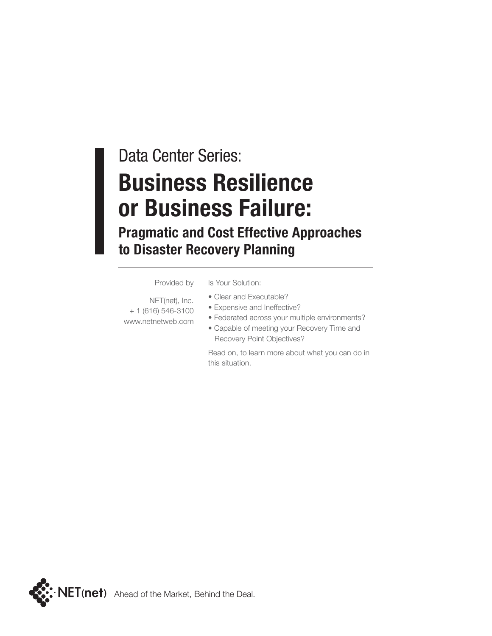## Data Center Series: **Business Resilience or Business Failure:**

### **Pragmatic and Cost Effective Approaches to Disaster Recovery Planning**

Provided by

Is Your Solution:

- NET(net), Inc. + 1 (616) 546-3100 www.netnetweb.com
- Clear and Executable?
- Expensive and Ineffective?
- Federated across your multiple environments?
- Capable of meeting your Recovery Time and Recovery Point Objectives?

Read on, to learn more about what you can do in this situation.

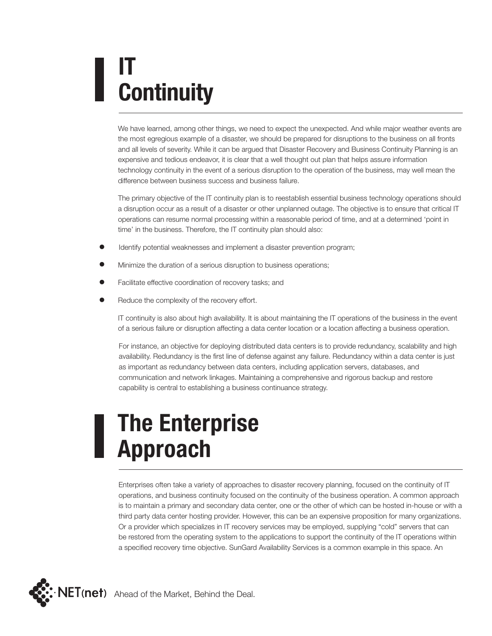# **IT Continuity**

We have learned, among other things, we need to expect the unexpected. And while major weather events are the most egregious example of a disaster, we should be prepared for disruptions to the business on all fronts and all levels of severity. While it can be argued that Disaster Recovery and Business Continuity Planning is an expensive and tedious endeavor, it is clear that a well thought out plan that helps assure information technology continuity in the event of a serious disruption to the operation of the business, may well mean the difference between business success and business failure.

The primary objective of the IT continuity plan is to reestablish essential business technology operations should a disruption occur as a result of a disaster or other unplanned outage. The objective is to ensure that critical IT operations can resume normal processing within a reasonable period of time, and at a determined 'point in time' in the business. Therefore, the IT continuity plan should also:

- Identify potential weaknesses and implement a disaster prevention program;
- Minimize the duration of a serious disruption to business operations;
- Facilitate effective coordination of recovery tasks; and
- Reduce the complexity of the recovery effort.

IT continuity is also about high availability. It is about maintaining the IT operations of the business in the event of a serious failure or disruption affecting a data center location or a location affecting a business operation.

For instance, an objective for deploying distributed data centers is to provide redundancy, scalability and high availability. Redundancy is the first line of defense against any failure. Redundancy within a data center is just as important as redundancy between data centers, including application servers, databases, and communication and network linkages. Maintaining a comprehensive and rigorous backup and restore capability is central to establishing a business continuance strategy.

## **The Enterprise Approach**

Enterprises often take a variety of approaches to disaster recovery planning, focused on the continuity of IT operations, and business continuity focused on the continuity of the business operation. A common approach is to maintain a primary and secondary data center, one or the other of which can be hosted in-house or with a third party data center hosting provider. However, this can be an expensive proposition for many organizations. Or a provider which specializes in IT recovery services may be employed, supplying "cold" servers that can be restored from the operating system to the applications to support the continuity of the IT operations within a specified recovery time objective. SunGard Availability Services is a common example in this space. An

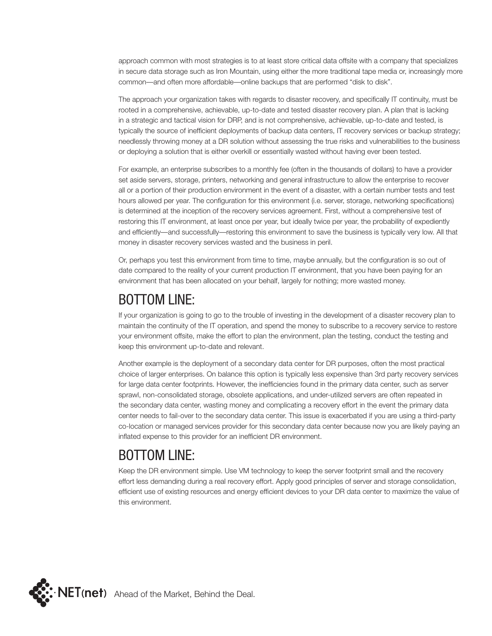approach common with most strategies is to at least store critical data offsite with a company that specializes in secure data storage such as Iron Mountain, using either the more traditional tape media or, increasingly more common—and often more affordable—online backups that are performed "disk to disk".

The approach your organization takes with regards to disaster recovery, and specifically IT continuity, must be rooted in a comprehensive, achievable, up-to-date and tested disaster recovery plan. A plan that is lacking in a strategic and tactical vision for DRP, and is not comprehensive, achievable, up-to-date and tested, is typically the source of inefficient deployments of backup data centers, IT recovery services or backup strategy; needlessly throwing money at a DR solution without assessing the true risks and vulnerabilities to the business or deploying a solution that is either overkill or essentially wasted without having ever been tested.

For example, an enterprise subscribes to a monthly fee (often in the thousands of dollars) to have a provider set aside servers, storage, printers, networking and general infrastructure to allow the enterprise to recover all or a portion of their production environment in the event of a disaster, with a certain number tests and test hours allowed per year. The configuration for this environment (i.e. server, storage, networking specifications) is determined at the inception of the recovery services agreement. First, without a comprehensive test of restoring this IT environment, at least once per year, but ideally twice per year, the probability of expediently and efficiently—and successfully—restoring this environment to save the business is typically very low. All that money in disaster recovery services wasted and the business in peril.

Or, perhaps you test this environment from time to time, maybe annually, but the configuration is so out of date compared to the reality of your current production IT environment, that you have been paying for an environment that has been allocated on your behalf, largely for nothing; more wasted money.

#### BOTTOM LINE:

If your organization is going to go to the trouble of investing in the development of a disaster recovery plan to maintain the continuity of the IT operation, and spend the money to subscribe to a recovery service to restore your environment offsite, make the effort to plan the environment, plan the testing, conduct the testing and keep this environment up-to-date and relevant.

Another example is the deployment of a secondary data center for DR purposes, often the most practical choice of larger enterprises. On balance this option is typically less expensive than 3rd party recovery services for large data center footprints. However, the inefficiencies found in the primary data center, such as server sprawl, non-consolidated storage, obsolete applications, and under-utilized servers are often repeated in the secondary data center, wasting money and complicating a recovery effort in the event the primary data center needs to fail-over to the secondary data center. This issue is exacerbated if you are using a third-party co-location or managed services provider for this secondary data center because now you are likely paying an inflated expense to this provider for an inefficient DR environment.

### BOTTOM LINE:

Keep the DR environment simple. Use VM technology to keep the server footprint small and the recovery effort less demanding during a real recovery effort. Apply good principles of server and storage consolidation, efficient use of existing resources and energy efficient devices to your DR data center to maximize the value of this environment.